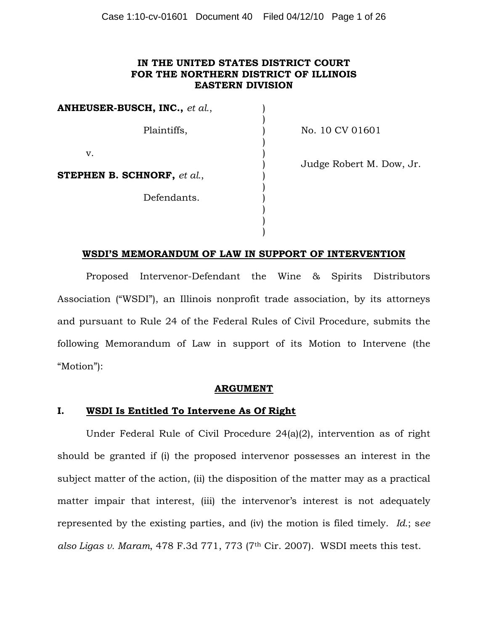## **IN THE UNITED STATES DISTRICT COURT FOR THE NORTHERN DISTRICT OF ILLINOIS EASTERN DIVISION**

**ANHEUSER-BUSCH, INC.,** *et al.*, Plaintiffs, v. **STEPHEN B. SCHNORF,** *et al.*, Defendants. ) ) ) ) ) ) ) ) ) ) )

No. 10 CV 01601

Judge Robert M. Dow, Jr.

## **WSDI'S MEMORANDUM OF LAW IN SUPPORT OF INTERVENTION**

)

Proposed Intervenor-Defendant the Wine & Spirits Distributors Association ("WSDI"), an Illinois nonprofit trade association, by its attorneys and pursuant to Rule 24 of the Federal Rules of Civil Procedure, submits the following Memorandum of Law in support of its Motion to Intervene (the "Motion"):

### **ARGUMENT**

### **I. WSDI Is Entitled To Intervene As Of Right**

Under Federal Rule of Civil Procedure 24(a)(2), intervention as of right should be granted if (i) the proposed intervenor possesses an interest in the subject matter of the action, (ii) the disposition of the matter may as a practical matter impair that interest, (iii) the intervenor's interest is not adequately represented by the existing parties, and (iv) the motion is filed timely. *Id.*; s*ee also Ligas v. Maram*, 478 F.3d 771, 773 (7th Cir. 2007). WSDI meets this test.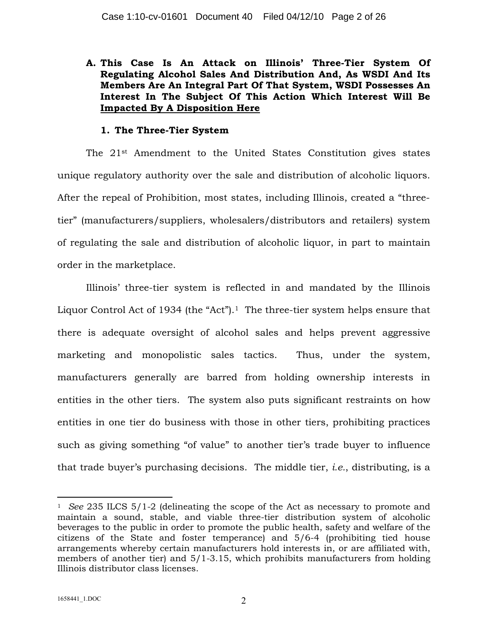**A. This Case Is An Attack on Illinois' Three-Tier System Of Regulating Alcohol Sales And Distribution And, As WSDI And Its Members Are An Integral Part Of That System, WSDI Possesses An Interest In The Subject Of This Action Which Interest Will Be Impacted By A Disposition Here**

## **1. The Three-Tier System**

The 21st Amendment to the United States Constitution gives states unique regulatory authority over the sale and distribution of alcoholic liquors. After the repeal of Prohibition, most states, including Illinois, created a "threetier" (manufacturers/suppliers, wholesalers/distributors and retailers) system of regulating the sale and distribution of alcoholic liquor, in part to maintain order in the marketplace.

Illinois' three-tier system is reflected in and mandated by the Illinois Liquor Control Act of 1934 (the "Act"). <sup>1</sup> The three-tier system helps ensure that there is adequate oversight of alcohol sales and helps prevent aggressive marketing and monopolistic sales tactics. Thus, under the system, manufacturers generally are barred from holding ownership interests in entities in the other tiers. The system also puts significant restraints on how entities in one tier do business with those in other tiers, prohibiting practices such as giving something "of value" to another tier's trade buyer to influence that trade buyer's purchasing decisions. The middle tier, *i.e.*, distributing, is a

<sup>1</sup> *See* 235 ILCS 5/1-2 (delineating the scope of the Act as necessary to promote and maintain a sound, stable, and viable three-tier distribution system of alcoholic beverages to the public in order to promote the public health, safety and welfare of the citizens of the State and foster temperance) and 5/6-4 (prohibiting tied house arrangements whereby certain manufacturers hold interests in, or are affiliated with, members of another tier) and 5/1-3.15, which prohibits manufacturers from holding Illinois distributor class licenses.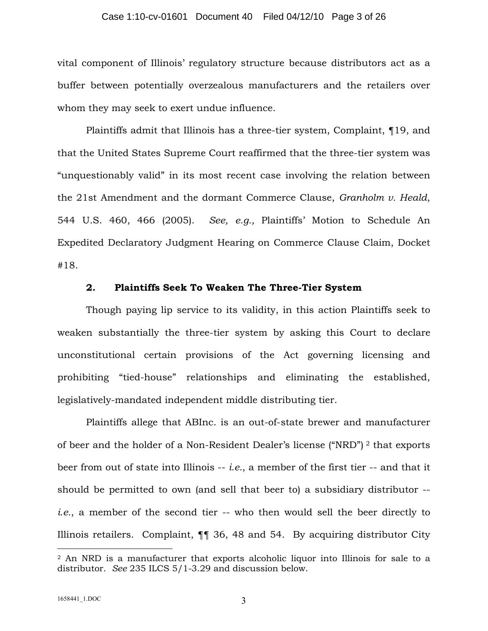#### Case 1:10-cv-01601 Document 40 Filed 04/12/10 Page 3 of 26

vital component of Illinois' regulatory structure because distributors act as a buffer between potentially overzealous manufacturers and the retailers over whom they may seek to exert undue influence.

Plaintiffs admit that Illinois has a three-tier system, Complaint, ¶19, and that the United States Supreme Court reaffirmed that the three-tier system was "unquestionably valid" in its most recent case involving the relation between the 21st Amendment and the dormant Commerce Clause, *Granholm v. Heald*, 544 U.S. 460, 466 (2005). *See, e.g.,* Plaintiffs' Motion to Schedule An Expedited Declaratory Judgment Hearing on Commerce Clause Claim, Docket #18.

### **2. Plaintiffs Seek To Weaken The Three-Tier System**

Though paying lip service to its validity, in this action Plaintiffs seek to weaken substantially the three-tier system by asking this Court to declare unconstitutional certain provisions of the Act governing licensing and prohibiting "tied-house" relationships and eliminating the established, legislatively-mandated independent middle distributing tier.

Plaintiffs allege that ABInc. is an out-of-state brewer and manufacturer of beer and the holder of a Non-Resident Dealer's license ("NRD") <sup>2</sup> that exports beer from out of state into Illinois -- *i.e.*, a member of the first tier -- and that it should be permitted to own (and sell that beer to) a subsidiary distributor - *i.e.*, a member of the second tier -- who then would sell the beer directly to Illinois retailers. Complaint, ¶¶ 36, 48 and 54. By acquiring distributor City

<sup>2</sup> An NRD is a manufacturer that exports alcoholic liquor into Illinois for sale to a distributor. *See* 235 ILCS 5/1-3.29 and discussion below.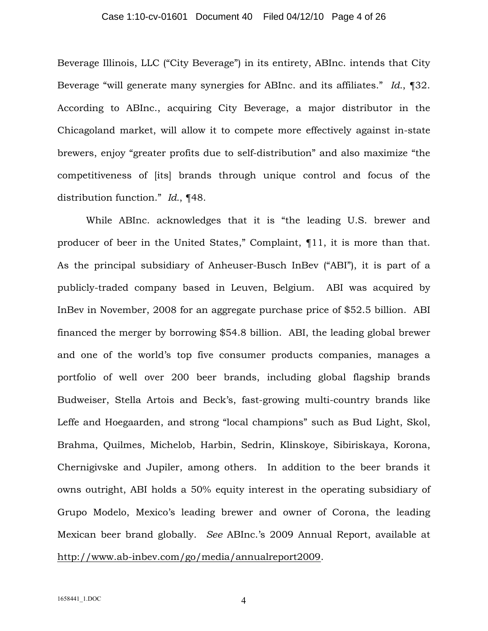#### Case 1:10-cv-01601 Document 40 Filed 04/12/10 Page 4 of 26

Beverage Illinois, LLC ("City Beverage") in its entirety, ABInc. intends that City Beverage "will generate many synergies for ABInc. and its affiliates." *Id.*, ¶32. According to ABInc., acquiring City Beverage, a major distributor in the Chicagoland market, will allow it to compete more effectively against in-state brewers, enjoy "greater profits due to self-distribution" and also maximize "the competitiveness of [its] brands through unique control and focus of the distribution function." *Id.*, ¶48.

While ABInc. acknowledges that it is "the leading U.S. brewer and producer of beer in the United States," Complaint, ¶11, it is more than that. As the principal subsidiary of Anheuser-Busch InBev ("ABI"), it is part of a publicly-traded company based in Leuven, Belgium. ABI was acquired by InBev in November, 2008 for an aggregate purchase price of \$52.5 billion. ABI financed the merger by borrowing \$54.8 billion. ABI, the leading global brewer and one of the world's top five consumer products companies, manages a portfolio of well over 200 beer brands, including global flagship brands Budweiser, Stella Artois and Beck's, fast-growing multi-country brands like Leffe and Hoegaarden, and strong "local champions" such as Bud Light, Skol, Brahma, Quilmes, Michelob, Harbin, Sedrin, Klinskoye, Sibiriskaya, Korona, Chernigivske and Jupiler, among others. In addition to the beer brands it owns outright, ABI holds a 50% equity interest in the operating subsidiary of Grupo Modelo, Mexico's leading brewer and owner of Corona, the leading Mexican beer brand globally. *See* ABInc.'s 2009 Annual Report, available at [http://w](http://www.ab-inbev.com/go/media/annualreport2009)[ww.ab-inbev.com/go/media/annualreport2009](www.ab-inbev.com/go/media/annualreport2009).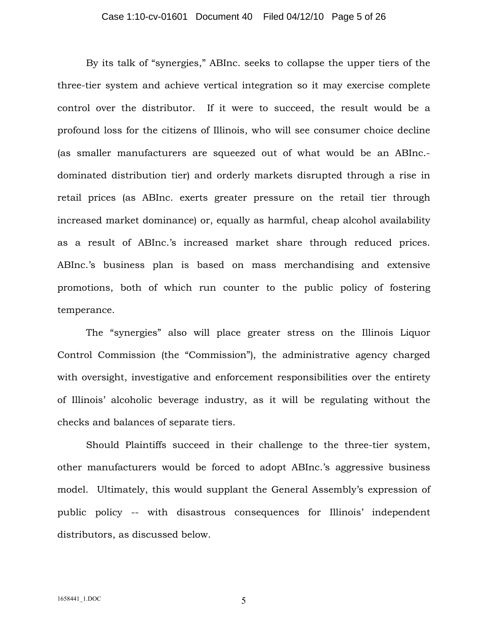#### Case 1:10-cv-01601 Document 40 Filed 04/12/10 Page 5 of 26

By its talk of "synergies," ABInc. seeks to collapse the upper tiers of the three-tier system and achieve vertical integration so it may exercise complete control over the distributor. If it were to succeed, the result would be a profound loss for the citizens of Illinois, who will see consumer choice decline (as smaller manufacturers are squeezed out of what would be an ABInc. dominated distribution tier) and orderly markets disrupted through a rise in retail prices (as ABInc. exerts greater pressure on the retail tier through increased market dominance) or, equally as harmful, cheap alcohol availability as a result of ABInc.'s increased market share through reduced prices. ABInc.'s business plan is based on mass merchandising and extensive promotions, both of which run counter to the public policy of fostering temperance.

The "synergies" also will place greater stress on the Illinois Liquor Control Commission (the "Commission"), the administrative agency charged with oversight, investigative and enforcement responsibilities over the entirety of Illinois' alcoholic beverage industry, as it will be regulating without the checks and balances of separate tiers.

Should Plaintiffs succeed in their challenge to the three-tier system, other manufacturers would be forced to adopt ABInc.'s aggressive business model. Ultimately, this would supplant the General Assembly's expression of public policy -- with disastrous consequences for Illinois' independent distributors, as discussed below.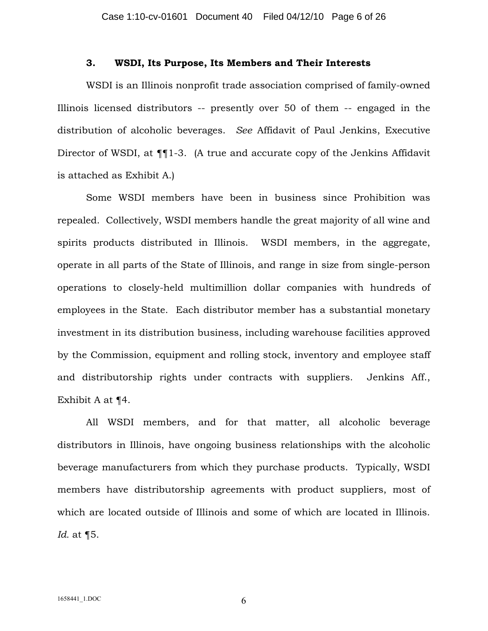### **3. WSDI, Its Purpose, Its Members and Their Interests**

WSDI is an Illinois nonprofit trade association comprised of family-owned Illinois licensed distributors -- presently over 50 of them -- engaged in the distribution of alcoholic beverages. *See* Affidavit of Paul Jenkins, Executive Director of WSDI, at  $\P$ [1-3. (A true and accurate copy of the Jenkins Affidavit is attached as Exhibit A.)

Some WSDI members have been in business since Prohibition was repealed. Collectively, WSDI members handle the great majority of all wine and spirits products distributed in Illinois. WSDI members, in the aggregate, operate in all parts of the State of Illinois, and range in size from single-person operations to closely-held multimillion dollar companies with hundreds of employees in the State. Each distributor member has a substantial monetary investment in its distribution business, including warehouse facilities approved by the Commission, equipment and rolling stock, inventory and employee staff and distributorship rights under contracts with suppliers. Jenkins Aff., Exhibit A at ¶4.

All WSDI members, and for that matter, all alcoholic beverage distributors in Illinois, have ongoing business relationships with the alcoholic beverage manufacturers from which they purchase products. Typically, WSDI members have distributorship agreements with product suppliers, most of which are located outside of Illinois and some of which are located in Illinois. *Id.* at ¶5.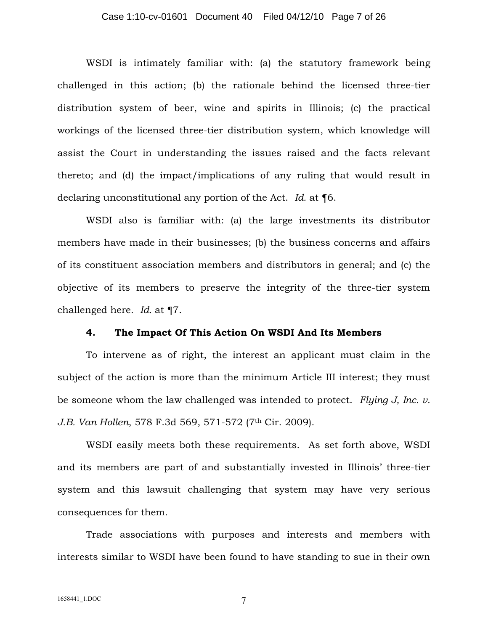#### Case 1:10-cv-01601 Document 40 Filed 04/12/10 Page 7 of 26

WSDI is intimately familiar with: (a) the statutory framework being challenged in this action; (b) the rationale behind the licensed three-tier distribution system of beer, wine and spirits in Illinois; (c) the practical workings of the licensed three-tier distribution system, which knowledge will assist the Court in understanding the issues raised and the facts relevant thereto; and (d) the impact/implications of any ruling that would result in declaring unconstitutional any portion of the Act. *Id.* at ¶6.

WSDI also is familiar with: (a) the large investments its distributor members have made in their businesses; (b) the business concerns and affairs of its constituent association members and distributors in general; and (c) the objective of its members to preserve the integrity of the three-tier system challenged here. *Id.* at ¶7.

#### **4. The Impact Of This Action On WSDI And Its Members**

To intervene as of right, the interest an applicant must claim in the subject of the action is more than the minimum Article III interest; they must be someone whom the law challenged was intended to protect. *Flying J, Inc. v. J.B. Van Hollen*, 578 F.3d 569, 571-572 (7th Cir. 2009).

WSDI easily meets both these requirements. As set forth above, WSDI and its members are part of and substantially invested in Illinois' three-tier system and this lawsuit challenging that system may have very serious consequences for them.

Trade associations with purposes and interests and members with interests similar to WSDI have been found to have standing to sue in their own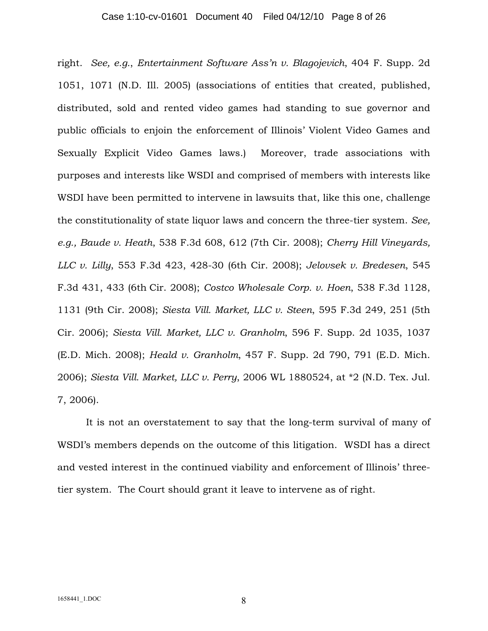#### Case 1:10-cv-01601 Document 40 Filed 04/12/10 Page 8 of 26

right. *See, e.g.*, *Entertainment Software Ass'n v. Blagojevich*, 404 F. Supp. 2d 1051, 1071 (N.D. Ill. 2005) (associations of entities that created, published, distributed, sold and rented video games had standing to sue governor and public officials to enjoin the enforcement of Illinois' Violent Video Games and Sexually Explicit Video Games laws.) Moreover, trade associations with purposes and interests like WSDI and comprised of members with interests like WSDI have been permitted to intervene in lawsuits that, like this one, challenge the constitutionality of state liquor laws and concern the three-tier system. *See, e.g., Baude v. Heath*, 538 F.3d 608, 612 (7th Cir. 2008); *Cherry Hill Vineyards, LLC v. Lilly*, 553 F.3d 423, 428-30 (6th Cir. 2008); *Jelovsek v. Bredesen*, 545 F.3d 431, 433 (6th Cir. 2008); *Costco Wholesale Corp. v. Hoen*, 538 F.3d 1128, 1131 (9th Cir. 2008); *Siesta Vill. Market, LLC v. Steen*, 595 F.3d 249, 251 (5th Cir. 2006); *Siesta Vill. Market, LLC v. Granholm*, 596 F. Supp. 2d 1035, 1037 (E.D. Mich. 2008); *Heald v. Granholm*, 457 F. Supp. 2d 790, 791 (E.D. Mich. 2006); *Siesta Vill. Market, LLC v. Perry*, 2006 WL 1880524, at \*2 (N.D. Tex. Jul. 7, 2006).

It is not an overstatement to say that the long-term survival of many of WSDI's members depends on the outcome of this litigation. WSDI has a direct and vested interest in the continued viability and enforcement of Illinois' threetier system. The Court should grant it leave to intervene as of right.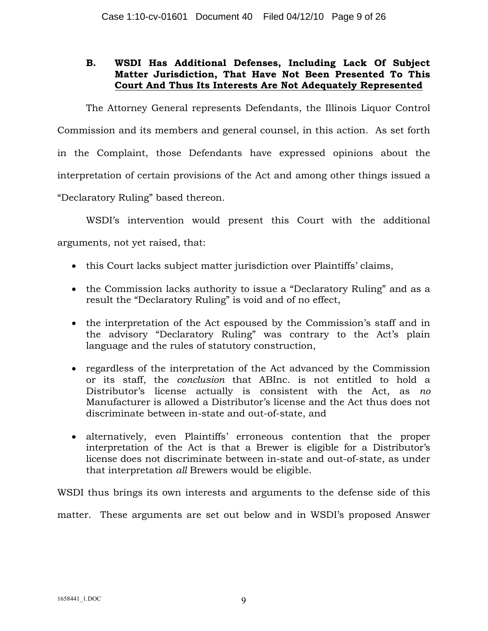# **B. WSDI Has Additional Defenses, Including Lack Of Subject Matter Jurisdiction, That Have Not Been Presented To This Court And Thus Its Interests Are Not Adequately Represented**

The Attorney General represents Defendants, the Illinois Liquor Control Commission and its members and general counsel, in this action. As set forth in the Complaint, those Defendants have expressed opinions about the interpretation of certain provisions of the Act and among other things issued a "Declaratory Ruling" based thereon.

WSDI's intervention would present this Court with the additional arguments, not yet raised, that:

- this Court lacks subject matter jurisdiction over Plaintiffs' claims,
- the Commission lacks authority to issue a "Declaratory Ruling" and as a result the "Declaratory Ruling" is void and of no effect,
- · the interpretation of the Act espoused by the Commission's staff and in the advisory "Declaratory Ruling" was contrary to the Act's plain language and the rules of statutory construction,
- · regardless of the interpretation of the Act advanced by the Commission or its staff, the *conclusion* that ABInc. is not entitled to hold a Distributor's license actually is consistent with the Act, as *no* Manufacturer is allowed a Distributor's license and the Act thus does not discriminate between in-state and out-of-state, and
- · alternatively, even Plaintiffs' erroneous contention that the proper interpretation of the Act is that a Brewer is eligible for a Distributor's license does not discriminate between in-state and out-of-state, as under that interpretation *all* Brewers would be eligible.

WSDI thus brings its own interests and arguments to the defense side of this matter. These arguments are set out below and in WSDI's proposed Answer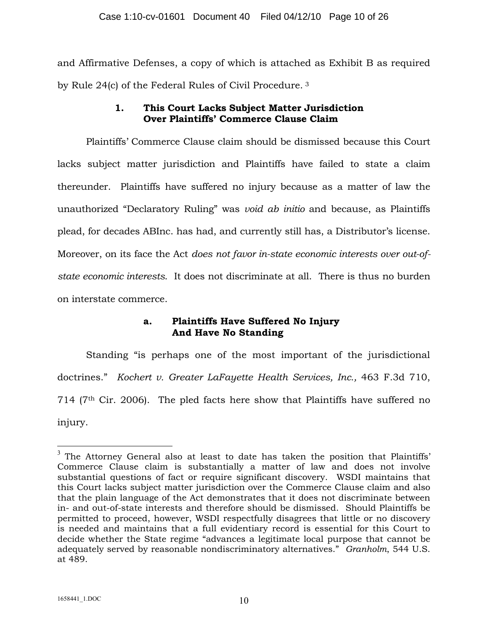and Affirmative Defenses, a copy of which is attached as Exhibit B as required by Rule 24(c) of the Federal Rules of Civil Procedure. <sup>3</sup>

# **1. This Court Lacks Subject Matter Jurisdiction Over Plaintiffs' Commerce Clause Claim**

Plaintiffs' Commerce Clause claim should be dismissed because this Court lacks subject matter jurisdiction and Plaintiffs have failed to state a claim thereunder. Plaintiffs have suffered no injury because as a matter of law the unauthorized "Declaratory Ruling" was *void ab initio* and because, as Plaintiffs plead, for decades ABInc. has had, and currently still has, a Distributor's license. Moreover, on its face the Act *does not favor in-state economic interests over out-ofstate economic interests*. It does not discriminate at all. There is thus no burden on interstate commerce.

# **a. Plaintiffs Have Suffered No Injury And Have No Standing**

Standing "is perhaps one of the most important of the jurisdictional doctrines." *Kochert v. Greater LaFayette Health Services, Inc.,* 463 F.3d 710, 714 (7th Cir. 2006). The pled facts here show that Plaintiffs have suffered no injury.

 $^3$  The Attorney General also at least to date has taken the position that Plaintiffs' Commerce Clause claim is substantially a matter of law and does not involve substantial questions of fact or require significant discovery. WSDI maintains that this Court lacks subject matter jurisdiction over the Commerce Clause claim and also that the plain language of the Act demonstrates that it does not discriminate between in- and out-of-state interests and therefore should be dismissed. Should Plaintiffs be permitted to proceed, however, WSDI respectfully disagrees that little or no discovery is needed and maintains that a full evidentiary record is essential for this Court to decide whether the State regime "advances a legitimate local purpose that cannot be adequately served by reasonable nondiscriminatory alternatives." *Granholm*, 544 U.S. at 489.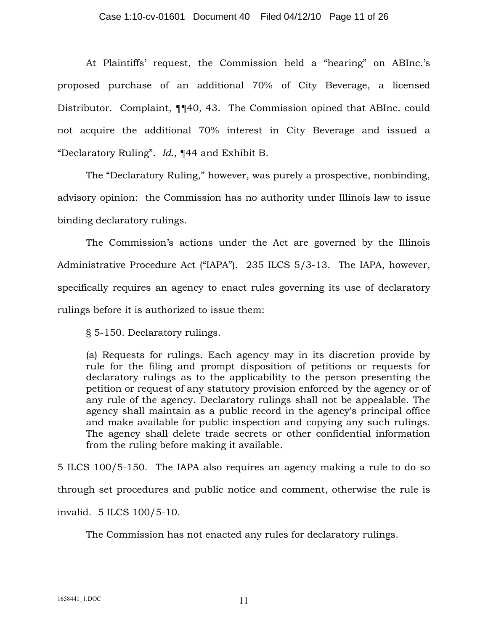#### Case 1:10-cv-01601 Document 40 Filed 04/12/10 Page 11 of 26

At Plaintiffs' request, the Commission held a "hearing" on ABInc.'s proposed purchase of an additional 70% of City Beverage, a licensed Distributor. Complaint, ¶¶40, 43. The Commission opined that ABInc. could not acquire the additional 70% interest in City Beverage and issued a "Declaratory Ruling". *Id.*, ¶44 and Exhibit B.

The "Declaratory Ruling," however, was purely a prospective, nonbinding, advisory opinion: the Commission has no authority under Illinois law to issue binding declaratory rulings.

The Commission's actions under the Act are governed by the Illinois Administrative Procedure Act ("IAPA"). 235 ILCS 5/3-13. The IAPA, however, specifically requires an agency to enact rules governing its use of declaratory rulings before it is authorized to issue them:

§ 5-150. Declaratory rulings.

(a) Requests for rulings. Each agency may in its discretion provide by rule for the filing and prompt disposition of petitions or requests for declaratory rulings as to the applicability to the person presenting the petition or request of any statutory provision enforced by the agency or of any rule of the agency. Declaratory rulings shall not be appealable. The agency shall maintain as a public record in the agency's principal office and make available for public inspection and copying any such rulings. The agency shall delete trade secrets or other confidential information from the ruling before making it available.

5 ILCS 100/5-150. The IAPA also requires an agency making a rule to do so through set procedures and public notice and comment, otherwise the rule is invalid. 5 ILCS 100/5-10.

The Commission has not enacted any rules for declaratory rulings.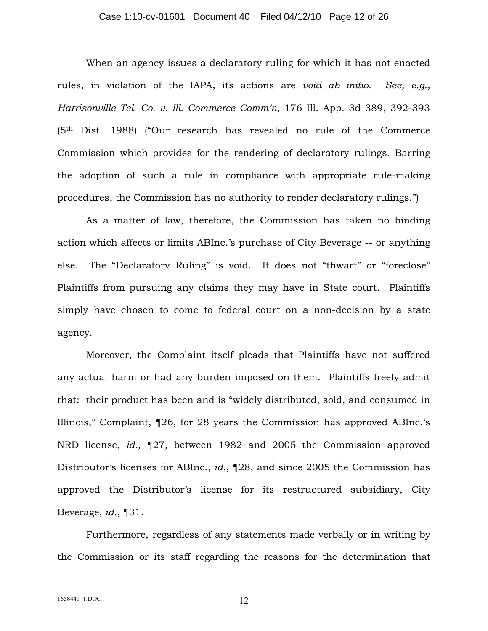#### Case 1:10-cv-01601 Document 40 Filed 04/12/10 Page 12 of 26

When an agency issues a declaratory ruling for which it has not enacted rules, in violation of the IAPA, its actions are *void ab initio. See, e.g., Harrisonville Tel. Co. v. Ill. Commerce Comm'n*, 176 Ill. App. 3d 389, 392-393 (5th Dist. 1988) ("Our research has revealed no rule of the Commerce Commission which provides for the rendering of declaratory rulings. Barring the adoption of such a rule in compliance with appropriate rule-making procedures, the Commission has no authority to render declaratory rulings.")

As a matter of law, therefore, the Commission has taken no binding action which affects or limits ABInc.'s purchase of City Beverage -- or anything else. The "Declaratory Ruling" is void. It does not "thwart" or "foreclose" Plaintiffs from pursuing any claims they may have in State court. Plaintiffs simply have chosen to come to federal court on a non-decision by a state agency.

Moreover, the Complaint itself pleads that Plaintiffs have not suffered any actual harm or had any burden imposed on them. Plaintiffs freely admit that: their product has been and is "widely distributed, sold, and consumed in Illinois," Complaint, ¶26, for 28 years the Commission has approved ABInc.'s NRD license, *id.*, ¶27, between 1982 and 2005 the Commission approved Distributor's licenses for ABInc., *id.*, ¶28, and since 2005 the Commission has approved the Distributor's license for its restructured subsidiary, City Beverage, *id.*, ¶31.

Furthermore, regardless of any statements made verbally or in writing by the Commission or its staff regarding the reasons for the determination that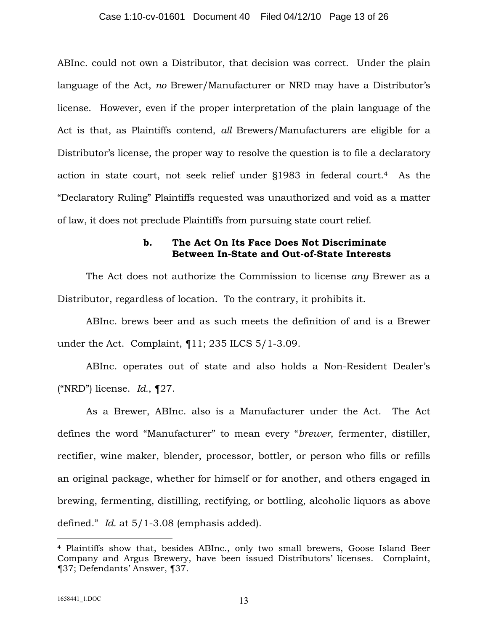#### Case 1:10-cv-01601 Document 40 Filed 04/12/10 Page 13 of 26

ABInc. could not own a Distributor, that decision was correct. Under the plain language of the Act, *no* Brewer/Manufacturer or NRD may have a Distributor's license. However, even if the proper interpretation of the plain language of the Act is that, as Plaintiffs contend, *all* Brewers/Manufacturers are eligible for a Distributor's license, the proper way to resolve the question is to file a declaratory action in state court, not seek relief under §1983 in federal court.<sup>4</sup> As the "Declaratory Ruling" Plaintiffs requested was unauthorized and void as a matter of law, it does not preclude Plaintiffs from pursuing state court relief.

### **b. The Act On Its Face Does Not Discriminate Between In-State and Out-of-State Interests**

The Act does not authorize the Commission to license *any* Brewer as a Distributor, regardless of location. To the contrary, it prohibits it.

ABInc. brews beer and as such meets the definition of and is a Brewer under the Act. Complaint, ¶11; 235 ILCS 5/1-3.09.

ABInc. operates out of state and also holds a Non-Resident Dealer's ("NRD") license. *Id.*, ¶27.

As a Brewer, ABInc. also is a Manufacturer under the Act. The Act defines the word "Manufacturer" to mean every "*brewer*, fermenter, distiller, rectifier, wine maker, blender, processor, bottler, or person who fills or refills an original package, whether for himself or for another, and others engaged in brewing, fermenting, distilling, rectifying, or bottling, alcoholic liquors as above defined." *Id.* at 5/1-3.08 (emphasis added).

<sup>4</sup> Plaintiffs show that, besides ABInc., only two small brewers, Goose Island Beer Company and Argus Brewery, have been issued Distributors' licenses. Complaint, ¶37; Defendants' Answer, ¶37.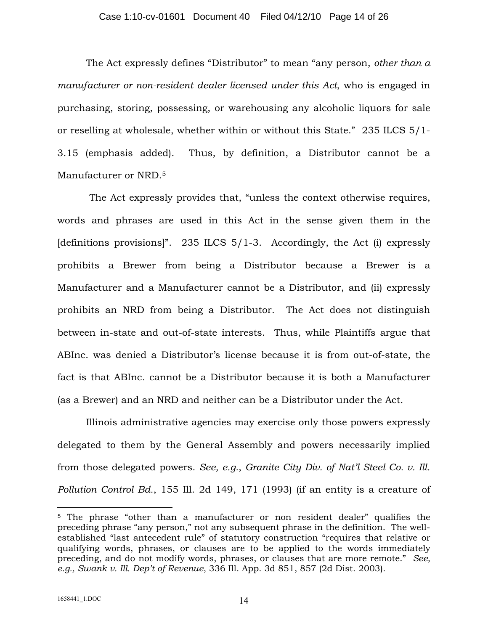#### Case 1:10-cv-01601 Document 40 Filed 04/12/10 Page 14 of 26

The Act expressly defines "Distributor" to mean "any person, *other than a manufacturer or non-resident dealer licensed under this Act*, who is engaged in purchasing, storing, possessing, or warehousing any alcoholic liquors for sale or reselling at wholesale, whether within or without this State." 235 ILCS 5/1- 3.15 (emphasis added). Thus, by definition, a Distributor cannot be a Manufacturer or NRD.<sup>5</sup>

The Act expressly provides that, "unless the context otherwise requires, words and phrases are used in this Act in the sense given them in the [definitions provisions]". 235 ILCS  $5/1$ -3. Accordingly, the Act (i) expressly prohibits a Brewer from being a Distributor because a Brewer is a Manufacturer and a Manufacturer cannot be a Distributor, and (ii) expressly prohibits an NRD from being a Distributor. The Act does not distinguish between in-state and out-of-state interests. Thus, while Plaintiffs argue that ABInc. was denied a Distributor's license because it is from out-of-state, the fact is that ABInc. cannot be a Distributor because it is both a Manufacturer (as a Brewer) and an NRD and neither can be a Distributor under the Act.

Illinois administrative agencies may exercise only those powers expressly delegated to them by the General Assembly and powers necessarily implied from those delegated powers. *See, e.g.*, *Granite City Div. of Nat'l Steel Co. v. Ill. Pollution Control Bd.*, 155 Ill. 2d 149, 171 (1993) (if an entity is a creature of

<sup>5</sup> The phrase "other than a manufacturer or non resident dealer" qualifies the preceding phrase "any person," not any subsequent phrase in the definition. The wellestablished "last antecedent rule" of statutory construction "requires that relative or qualifying words, phrases, or clauses are to be applied to the words immediately preceding, and do not modify words, phrases, or clauses that are more remote." *See, e.g., Swank v. Ill. Dep't of Revenue*, 336 Ill. App. 3d 851, 857 (2d Dist. 2003).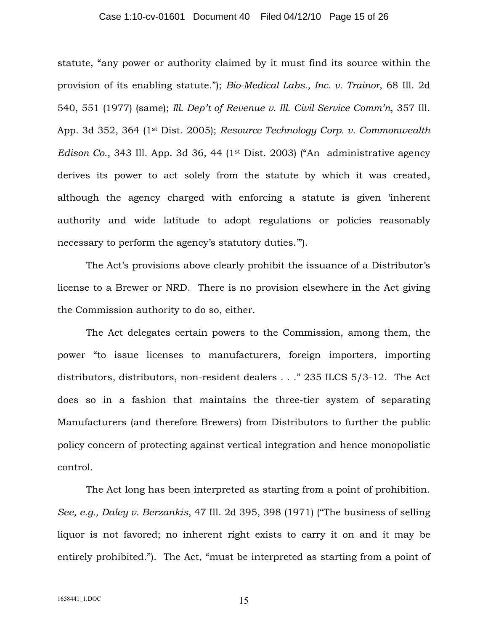#### Case 1:10-cv-01601 Document 40 Filed 04/12/10 Page 15 of 26

statute, "any power or authority claimed by it must find its source within the provision of its enabling statute."); *Bio-Medical Labs., Inc. v. Trainor*, 68 Ill. 2d 540, 551 (1977) (same); *Ill. Dep't of Revenue v. Ill. Civil Service Comm'n*, 357 Ill. App. 3d 352, 364 (1st Dist. 2005); *Resource Technology Corp. v. Commonwealth Edison Co.*, 343 Ill. App. 3d 36, 44 (1<sup>st</sup> Dist. 2003) ("An administrative agency derives its power to act solely from the statute by which it was created, although the agency charged with enforcing a statute is given 'inherent authority and wide latitude to adopt regulations or policies reasonably necessary to perform the agency's statutory duties.'").

The Act's provisions above clearly prohibit the issuance of a Distributor's license to a Brewer or NRD. There is no provision elsewhere in the Act giving the Commission authority to do so, either.

The Act delegates certain powers to the Commission, among them, the power "to issue licenses to manufacturers, foreign importers, importing distributors, distributors, non-resident dealers . . ." 235 ILCS 5/3-12. The Act does so in a fashion that maintains the three-tier system of separating Manufacturers (and therefore Brewers) from Distributors to further the public policy concern of protecting against vertical integration and hence monopolistic control.

The Act long has been interpreted as starting from a point of prohibition. *See, e.g., Daley v. Berzankis*, 47 Ill. 2d 395, 398 (1971) ("The business of selling liquor is not favored; no inherent right exists to carry it on and it may be entirely prohibited."). The Act, "must be interpreted as starting from a point of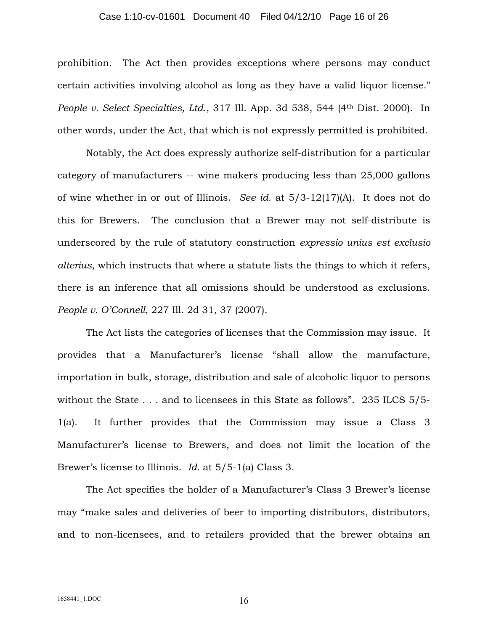#### Case 1:10-cv-01601 Document 40 Filed 04/12/10 Page 16 of 26

prohibition. The Act then provides exceptions where persons may conduct certain activities involving alcohol as long as they have a valid liquor license." *People v. Select Specialties, Ltd.*, 317 Ill. App. 3d 538, 544 (4th Dist. 2000). In other words, under the Act, that which is not expressly permitted is prohibited.

Notably, the Act does expressly authorize self-distribution for a particular category of manufacturers -- wine makers producing less than 25,000 gallons of wine whether in or out of Illinois. *See id.* at 5/3-12(17)(A). It does not do this for Brewers. The conclusion that a Brewer may not self-distribute is underscored by the rule of statutory construction *expressio unius est exclusio alterius*, which instructs that where a statute lists the things to which it refers, there is an inference that all omissions should be understood as exclusions. *People v. O'Connell*, 227 Ill. 2d 31, 37 (2007).

The Act lists the categories of licenses that the Commission may issue. It provides that a Manufacturer's license "shall allow the manufacture, importation in bulk, storage, distribution and sale of alcoholic liquor to persons without the State . . . and to licensees in this State as follows". 235 ILCS 5/5-1(a). It further provides that the Commission may issue a Class 3 Manufacturer's license to Brewers, and does not limit the location of the Brewer's license to Illinois. *Id.* at 5/5-1(a) Class 3.

The Act specifies the holder of a Manufacturer's Class 3 Brewer's license may "make sales and deliveries of beer to importing distributors, distributors, and to non-licensees, and to retailers provided that the brewer obtains an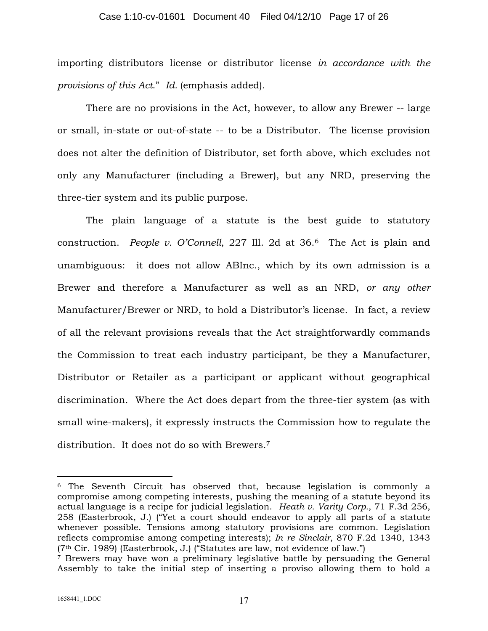importing distributors license or distributor license *in accordance with the provisions of this Act*." *Id.* (emphasis added).

There are no provisions in the Act, however, to allow any Brewer -- large or small, in-state or out-of-state -- to be a Distributor. The license provision does not alter the definition of Distributor, set forth above, which excludes not only any Manufacturer (including a Brewer), but any NRD, preserving the three-tier system and its public purpose.

The plain language of a statute is the best guide to statutory construction. *People v. O'Connell*, 227 Ill. 2d at 36.<sup>6</sup> The Act is plain and unambiguous: it does not allow ABInc., which by its own admission is a Brewer and therefore a Manufacturer as well as an NRD, *or any other* Manufacturer/Brewer or NRD, to hold a Distributor's license. In fact, a review of all the relevant provisions reveals that the Act straightforwardly commands the Commission to treat each industry participant, be they a Manufacturer, Distributor or Retailer as a participant or applicant without geographical discrimination. Where the Act does depart from the three-tier system (as with small wine-makers), it expressly instructs the Commission how to regulate the distribution. It does not do so with Brewers.<sup>7</sup>

<sup>6</sup> The Seventh Circuit has observed that, because legislation is commonly a compromise among competing interests, pushing the meaning of a statute beyond its actual language is a recipe for judicial legislation. *Heath v. Varity Corp.*, 71 F.3d 256, 258 (Easterbrook, J.) ("Yet a court should endeavor to apply all parts of a statute whenever possible. Tensions among statutory provisions are common. Legislation reflects compromise among competing interests); *In re Sinclair*, 870 F.2d 1340, 1343 (7th Cir. 1989) (Easterbrook, J.) ("Statutes are law, not evidence of law.")

<sup>7</sup> Brewers may have won a preliminary legislative battle by persuading the General Assembly to take the initial step of inserting a proviso allowing them to hold a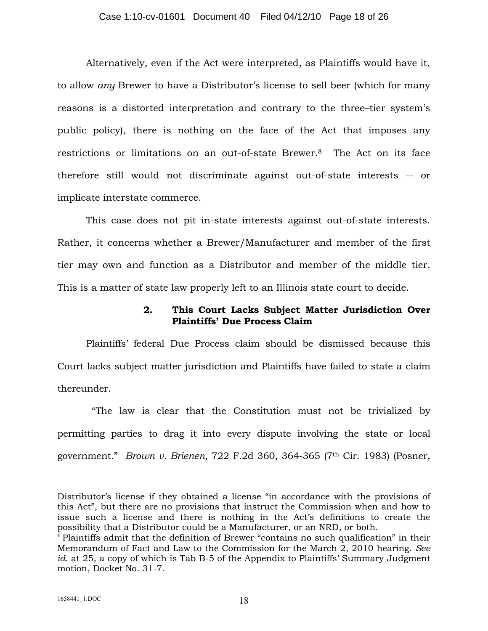Alternatively, even if the Act were interpreted, as Plaintiffs would have it, to allow *any* Brewer to have a Distributor's license to sell beer (which for many reasons is a distorted interpretation and contrary to the three–tier system's public policy), there is nothing on the face of the Act that imposes any restrictions or limitations on an out-of-state Brewer.<sup>8</sup> The Act on its face therefore still would not discriminate against out-of-state interests -- or implicate interstate commerce.

This case does not pit in-state interests against out-of-state interests. Rather, it concerns whether a Brewer/Manufacturer and member of the first tier may own and function as a Distributor and member of the middle tier. This is a matter of state law properly left to an Illinois state court to decide.

## **2. This Court Lacks Subject Matter Jurisdiction Over Plaintiffs' Due Process Claim**

Plaintiffs' federal Due Process claim should be dismissed because this Court lacks subject matter jurisdiction and Plaintiffs have failed to state a claim thereunder.

"The law is clear that the Constitution must not be trivialized by permitting parties to drag it into every dispute involving the state or local government." *Brown v. Brienen*, 722 F.2d 360, 364-365 (7th Cir. 1983) (Posner,

Distributor's license if they obtained a license "in accordance with the provisions of this Act", but there are no provisions that instruct the Commission when and how to issue such a license and there is nothing in the Act's definitions to create the possibility that a Distributor could be a Manufacturer, or an NRD, or both.

<sup>&</sup>lt;sup>8</sup> Plaintiffs admit that the definition of Brewer "contains no such qualification" in their Memorandum of Fact and Law to the Commission for the March 2, 2010 hearing. *See id.* at 25, a copy of which is Tab B-5 of the Appendix to Plaintiffs' Summary Judgment motion, Docket No. 31-7.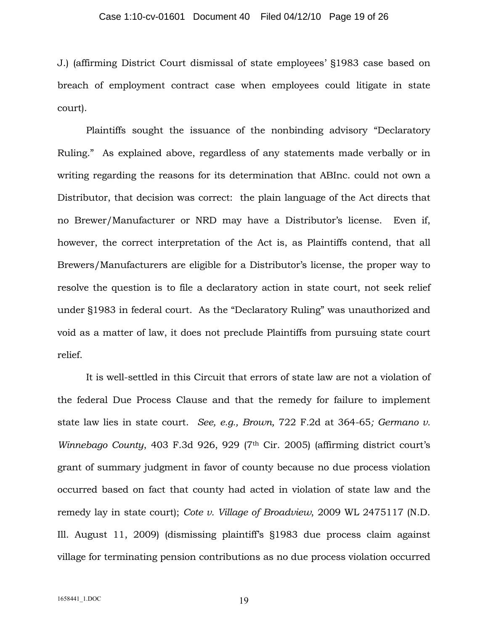J.) (affirming District Court dismissal of state employees' §1983 case based on breach of employment contract case when employees could litigate in state court).

Plaintiffs sought the issuance of the nonbinding advisory "Declaratory Ruling." As explained above, regardless of any statements made verbally or in writing regarding the reasons for its determination that ABInc. could not own a Distributor, that decision was correct: the plain language of the Act directs that no Brewer/Manufacturer or NRD may have a Distributor's license. Even if, however, the correct interpretation of the Act is, as Plaintiffs contend, that all Brewers/Manufacturers are eligible for a Distributor's license, the proper way to resolve the question is to file a declaratory action in state court, not seek relief under §1983 in federal court. As the "Declaratory Ruling" was unauthorized and void as a matter of law, it does not preclude Plaintiffs from pursuing state court relief.

It is well-settled in this Circuit that errors of state law are not a violation of the federal Due Process Clause and that the remedy for failure to implement state law lies in state court. *See, e.g., Brown,* 722 F.2d at 364-65*; Germano v. Winnebago County*, 403 F.3d 926, 929 (7<sup>th</sup> Cir. 2005) (affirming district court's grant of summary judgment in favor of county because no due process violation occurred based on fact that county had acted in violation of state law and the remedy lay in state court); *Cote v. Village of Broadview*, 2009 WL 2475117 (N.D. Ill. August 11, 2009) (dismissing plaintiff's §1983 due process claim against village for terminating pension contributions as no due process violation occurred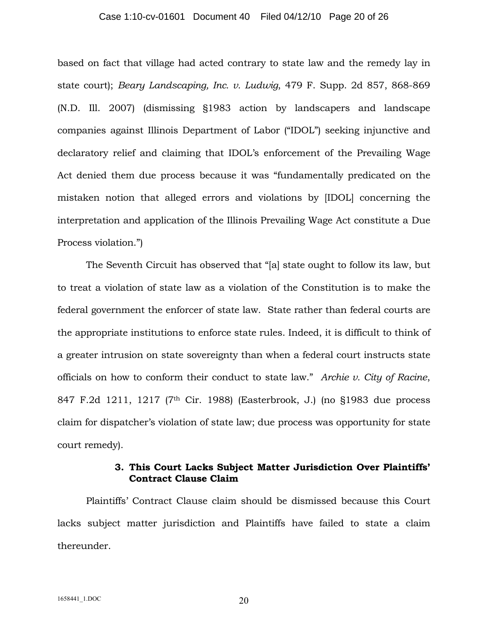#### Case 1:10-cv-01601 Document 40 Filed 04/12/10 Page 20 of 26

based on fact that village had acted contrary to state law and the remedy lay in state court); *Beary Landscaping, Inc. v. Ludwig*, 479 F. Supp. 2d 857, 868-869 (N.D. Ill. 2007) (dismissing §1983 action by landscapers and landscape companies against Illinois Department of Labor ("IDOL") seeking injunctive and declaratory relief and claiming that IDOL's enforcement of the Prevailing Wage Act denied them due process because it was "fundamentally predicated on the mistaken notion that alleged errors and violations by [IDOL] concerning the interpretation and application of the Illinois Prevailing Wage Act constitute a Due Process violation.")

The Seventh Circuit has observed that "[a] state ought to follow its law, but to treat a violation of state law as a violation of the Constitution is to make the federal government the enforcer of state law. State rather than federal courts are the appropriate institutions to enforce state rules. Indeed, it is difficult to think of a greater intrusion on state sovereignty than when a federal court instructs state officials on how to conform their conduct to state law." *Archie v. City of Racine*, 847 F.2d 1211, 1217 (7th Cir. 1988) (Easterbrook, J.) (no §1983 due process claim for dispatcher's violation of state law; due process was opportunity for state court remedy).

### **3. This Court Lacks Subject Matter Jurisdiction Over Plaintiffs' Contract Clause Claim**

Plaintiffs' Contract Clause claim should be dismissed because this Court lacks subject matter jurisdiction and Plaintiffs have failed to state a claim thereunder.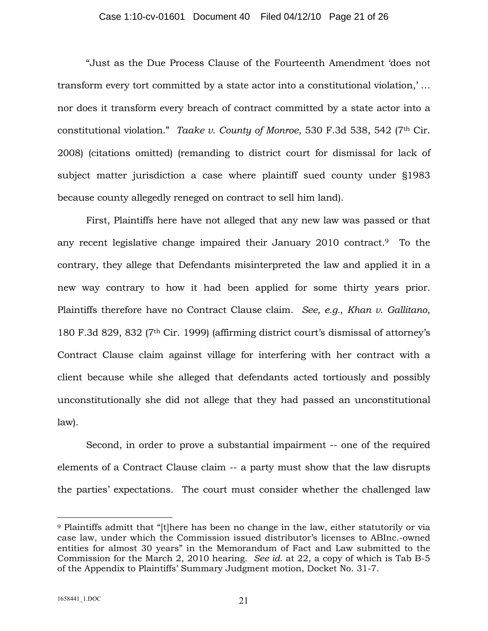#### Case 1:10-cv-01601 Document 40 Filed 04/12/10 Page 21 of 26

"Just as the Due Process Clause of the Fourteenth Amendment 'does not transform every tort committed by a state actor into a constitutional violation,' … nor does it transform every breach of contract committed by a state actor into a constitutional violation." *Taake v. County of Monroe*, 530 F.3d 538, 542 (7th Cir. 2008) (citations omitted) (remanding to district court for dismissal for lack of subject matter jurisdiction a case where plaintiff sued county under §1983 because county allegedly reneged on contract to sell him land).

First, Plaintiffs here have not alleged that any new law was passed or that any recent legislative change impaired their January 2010 contract.<sup>9</sup> To the contrary, they allege that Defendants misinterpreted the law and applied it in a new way contrary to how it had been applied for some thirty years prior. Plaintiffs therefore have no Contract Clause claim. *See, e.g.*, *Khan v. Gallitano*, 180 F.3d 829, 832 (7th Cir. 1999) (affirming district court's dismissal of attorney's Contract Clause claim against village for interfering with her contract with a client because while she alleged that defendants acted tortiously and possibly unconstitutionally she did not allege that they had passed an unconstitutional law).

Second, in order to prove a substantial impairment -- one of the required elements of a Contract Clause claim -- a party must show that the law disrupts the parties' expectations. The court must consider whether the challenged law

<sup>9</sup> Plaintiffs admitt that "[t]here has been no change in the law, either statutorily or via case law, under which the Commission issued distributor's licenses to ABInc.-owned entities for almost 30 years" in the Memorandum of Fact and Law submitted to the Commission for the March 2, 2010 hearing. *See id.* at 22, a copy of which is Tab B-5 of the Appendix to Plaintiffs' Summary Judgment motion, Docket No. 31-7.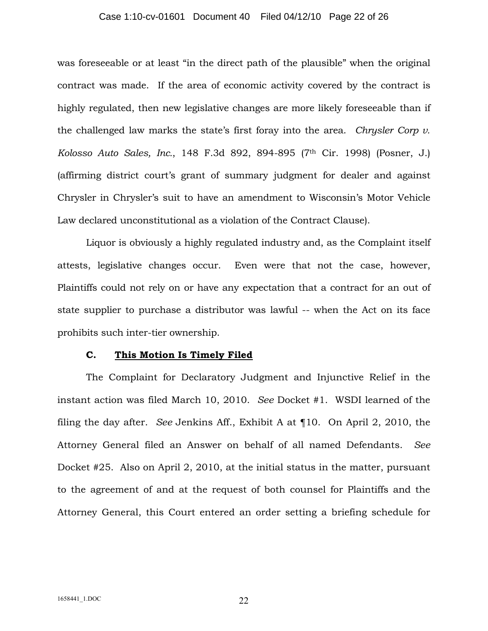#### Case 1:10-cv-01601 Document 40 Filed 04/12/10 Page 22 of 26

was foreseeable or at least "in the direct path of the plausible" when the original contract was made. If the area of economic activity covered by the contract is highly regulated, then new legislative changes are more likely foreseeable than if the challenged law marks the state's first foray into the area. *Chrysler Corp v. Kolosso Auto Sales, Inc.*, 148 F.3d 892, 894-895 (7th Cir. 1998) (Posner, J.) (affirming district court's grant of summary judgment for dealer and against Chrysler in Chrysler's suit to have an amendment to Wisconsin's Motor Vehicle Law declared unconstitutional as a violation of the Contract Clause).

Liquor is obviously a highly regulated industry and, as the Complaint itself attests, legislative changes occur. Even were that not the case, however, Plaintiffs could not rely on or have any expectation that a contract for an out of state supplier to purchase a distributor was lawful -- when the Act on its face prohibits such inter-tier ownership.

### **C. This Motion Is Timely Filed**

The Complaint for Declaratory Judgment and Injunctive Relief in the instant action was filed March 10, 2010. *See* Docket #1. WSDI learned of the filing the day after. *See* Jenkins Aff., Exhibit A at ¶10. On April 2, 2010, the Attorney General filed an Answer on behalf of all named Defendants. *See* Docket #25. Also on April 2, 2010, at the initial status in the matter, pursuant to the agreement of and at the request of both counsel for Plaintiffs and the Attorney General, this Court entered an order setting a briefing schedule for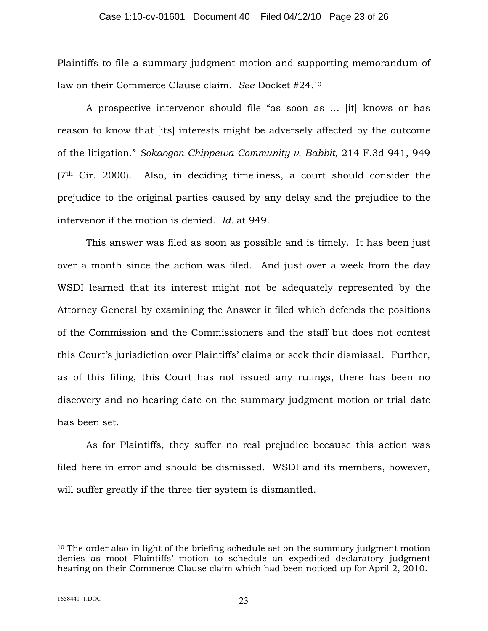#### Case 1:10-cv-01601 Document 40 Filed 04/12/10 Page 23 of 26

Plaintiffs to file a summary judgment motion and supporting memorandum of law on their Commerce Clause claim. *See* Docket #24.<sup>10</sup>

A prospective intervenor should file "as soon as … [it] knows or has reason to know that [its] interests might be adversely affected by the outcome of the litigation." *Sokaogon Chippewa Community v. Babbit*, 214 F.3d 941, 949  $(7<sup>th</sup>$  Cir. 2000). Also, in deciding timeliness, a court should consider the prejudice to the original parties caused by any delay and the prejudice to the intervenor if the motion is denied. *Id.* at 949.

This answer was filed as soon as possible and is timely. It has been just over a month since the action was filed. And just over a week from the day WSDI learned that its interest might not be adequately represented by the Attorney General by examining the Answer it filed which defends the positions of the Commission and the Commissioners and the staff but does not contest this Court's jurisdiction over Plaintiffs' claims or seek their dismissal. Further, as of this filing, this Court has not issued any rulings, there has been no discovery and no hearing date on the summary judgment motion or trial date has been set.

As for Plaintiffs, they suffer no real prejudice because this action was filed here in error and should be dismissed. WSDI and its members, however, will suffer greatly if the three-tier system is dismantled.

<sup>&</sup>lt;sup>10</sup> The order also in light of the briefing schedule set on the summary judgment motion denies as moot Plaintiffs' motion to schedule an expedited declaratory judgment hearing on their Commerce Clause claim which had been noticed up for April 2, 2010.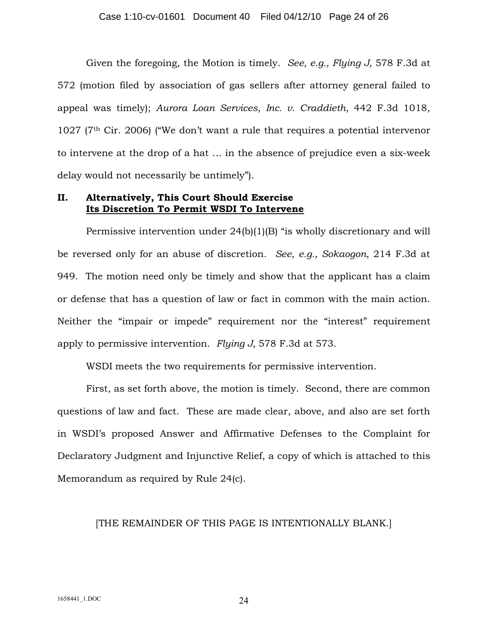Given the foregoing, the Motion is timely. *See, e.g., Flying J,* 578 F.3d at 572 (motion filed by association of gas sellers after attorney general failed to appeal was timely); *Aurora Loan Services, Inc. v. Craddieth*, 442 F.3d 1018,  $1027$  (7<sup>th</sup> Cir. 2006) ("We don't want a rule that requires a potential intervenor to intervene at the drop of a hat … in the absence of prejudice even a six-week delay would not necessarily be untimely").

## **II. Alternatively, This Court Should Exercise Its Discretion To Permit WSDI To Intervene**

Permissive intervention under 24(b)(1)(B) "is wholly discretionary and will be reversed only for an abuse of discretion. *See, e.g., Sokaogon*, 214 F.3d at 949. The motion need only be timely and show that the applicant has a claim or defense that has a question of law or fact in common with the main action. Neither the "impair or impede" requirement nor the "interest" requirement apply to permissive intervention. *Flying J,* 578 F.3d at 573.

WSDI meets the two requirements for permissive intervention.

First, as set forth above, the motion is timely. Second, there are common questions of law and fact. These are made clear, above, and also are set forth in WSDI's proposed Answer and Affirmative Defenses to the Complaint for Declaratory Judgment and Injunctive Relief, a copy of which is attached to this Memorandum as required by Rule 24(c).

### [THE REMAINDER OF THIS PAGE IS INTENTIONALLY BLANK.]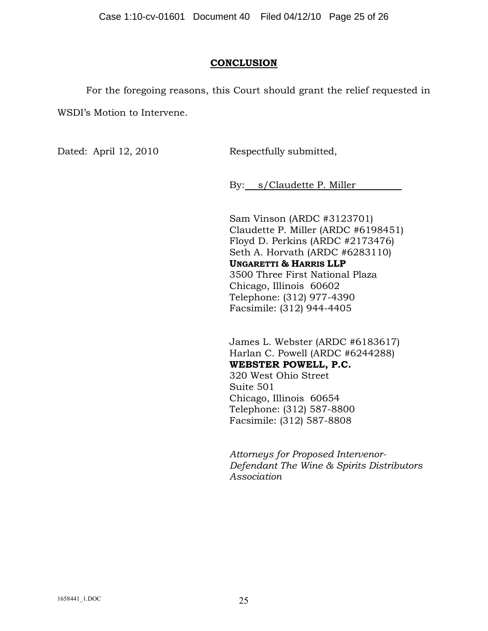## **CONCLUSION**

For the foregoing reasons, this Court should grant the relief requested in WSDI's Motion to Intervene.

Dated: April 12, 2010 Respectfully submitted,

By: s/Claudette P. Miller

Sam Vinson (ARDC #3123701) Claudette P. Miller (ARDC #6198451) Floyd D. Perkins (ARDC #2173476) Seth A. Horvath (ARDC #6283110) **UNGARETTI & HARRIS LLP** 3500 Three First National Plaza Chicago, Illinois 60602 Telephone: (312) 977-4390 Facsimile: (312) 944-4405

James L. Webster (ARDC #6183617) Harlan C. Powell (ARDC #6244288) **WEBSTER POWELL, P.C.** 320 West Ohio Street

Suite 501 Chicago, Illinois 60654 Telephone: (312) 587-8800 Facsimile: (312) 587-8808

*Attorneys for Proposed Intervenor-Defendant The Wine & Spirits Distributors Association*